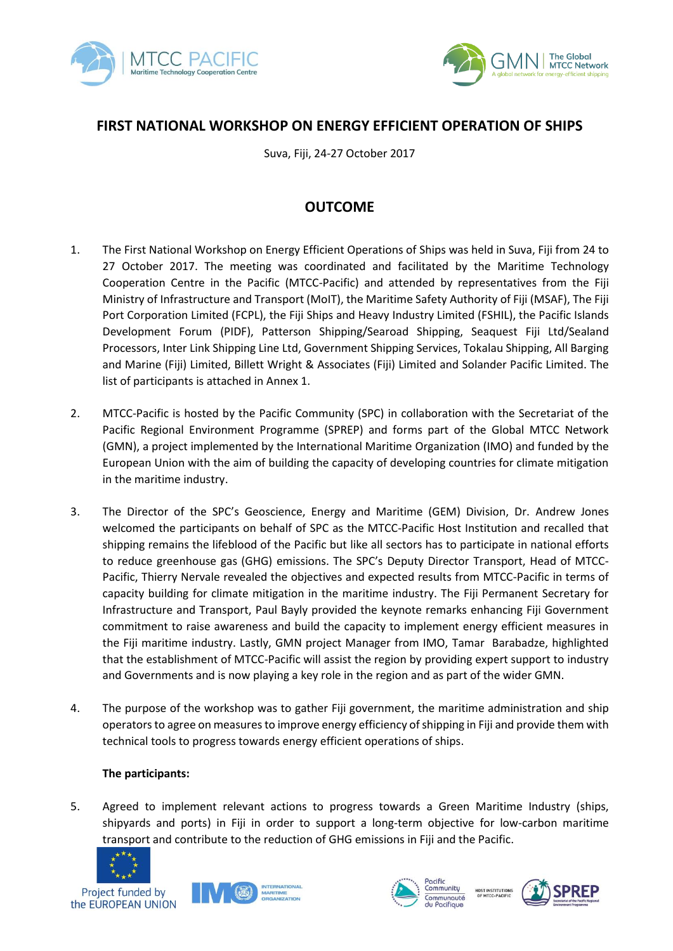



## **FIRST NATIONAL WORKSHOP ON ENERGY EFFICIENT OPERATION OF SHIPS**

Suva, Fiji, 24-27 October 2017

## **OUTCOME**

- 1. The First National Workshop on Energy Efficient Operations of Ships was held in Suva, Fiji from 24 to 27 October 2017. The meeting was coordinated and facilitated by the Maritime Technology Cooperation Centre in the Pacific (MTCC-Pacific) and attended by representatives from the Fiji Ministry of Infrastructure and Transport (MoIT), the Maritime Safety Authority of Fiji (MSAF), The Fiji Port Corporation Limited (FCPL), the Fiji Ships and Heavy Industry Limited (FSHIL), the Pacific Islands Development Forum (PIDF), Patterson Shipping/Searoad Shipping, Seaquest Fiji Ltd/Sealand Processors, Inter Link Shipping Line Ltd, Government Shipping Services, Tokalau Shipping, All Barging and Marine (Fiji) Limited, Billett Wright & Associates (Fiji) Limited and Solander Pacific Limited. The list of participants is attached in Annex 1.
- 2. MTCC-Pacific is hosted by the Pacific Community (SPC) in collaboration with the Secretariat of the Pacific Regional Environment Programme (SPREP) and forms part of the Global MTCC Network (GMN), a project implemented by the International Maritime Organization (IMO) and funded by the European Union with the aim of building the capacity of developing countries for climate mitigation in the maritime industry.
- 3. The Director of the SPC's Geoscience, Energy and Maritime (GEM) Division, Dr. Andrew Jones welcomed the participants on behalf of SPC as the MTCC-Pacific Host Institution and recalled that shipping remains the lifeblood of the Pacific but like all sectors has to participate in national efforts to reduce greenhouse gas (GHG) emissions. The SPC's Deputy Director Transport, Head of MTCC-Pacific, Thierry Nervale revealed the objectives and expected results from MTCC-Pacific in terms of capacity building for climate mitigation in the maritime industry. The Fiji Permanent Secretary for Infrastructure and Transport, Paul Bayly provided the keynote remarks enhancing Fiji Government commitment to raise awareness and build the capacity to implement energy efficient measures in the Fiji maritime industry. Lastly, GMN project Manager from IMO, Tamar Barabadze, highlighted that the establishment of MTCC-Pacific will assist the region by providing expert support to industry and Governments and is now playing a key role in the region and as part of the wider GMN.
- 4. The purpose of the workshop was to gather Fiji government, the maritime administration and ship operators to agree on measures to improve energy efficiency of shipping in Fiji and provide them with technical tools to progress towards energy efficient operations of ships.

## **The participants:**

5. Agreed to implement relevant actions to progress towards a Green Maritime Industry (ships, shipyards and ports) in Fiji in order to support a long-term objective for low-carbon maritime transport and contribute to the reduction of GHG emissions in Fiji and the Pacific.











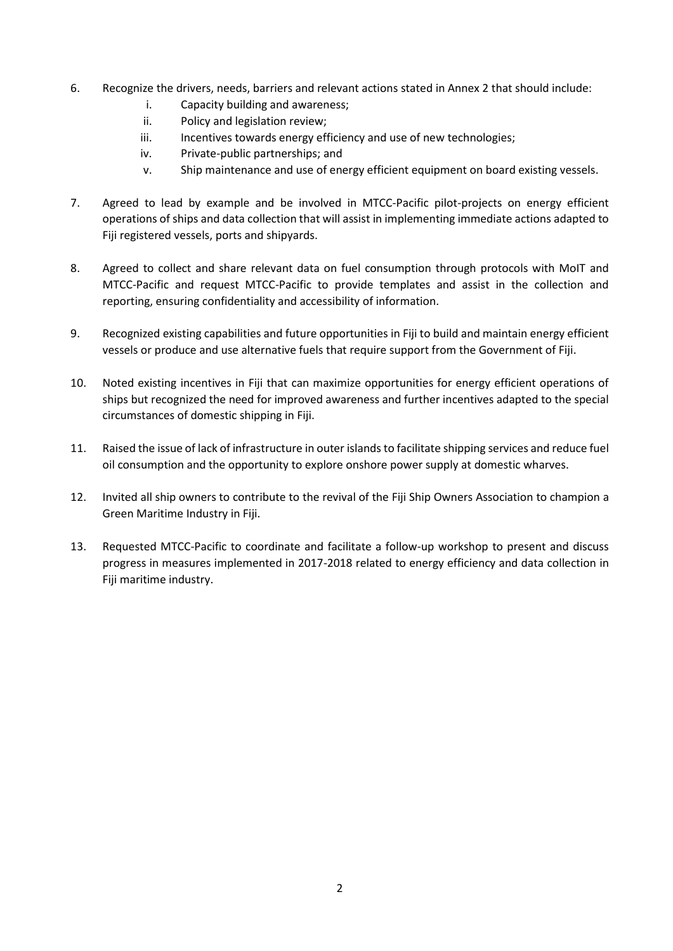- 6. Recognize the drivers, needs, barriers and relevant actions stated in Annex 2 that should include:
	- i. Capacity building and awareness;
	- ii. Policy and legislation review;
	- iii. Incentives towards energy efficiency and use of new technologies;
	- iv. Private-public partnerships; and
	- v. Ship maintenance and use of energy efficient equipment on board existing vessels.
- 7. Agreed to lead by example and be involved in MTCC-Pacific pilot-projects on energy efficient operations of ships and data collection that will assist in implementing immediate actions adapted to Fiji registered vessels, ports and shipyards.
- 8. Agreed to collect and share relevant data on fuel consumption through protocols with MoIT and MTCC-Pacific and request MTCC-Pacific to provide templates and assist in the collection and reporting, ensuring confidentiality and accessibility of information.
- 9. Recognized existing capabilities and future opportunities in Fiji to build and maintain energy efficient vessels or produce and use alternative fuels that require support from the Government of Fiji.
- 10. Noted existing incentives in Fiji that can maximize opportunities for energy efficient operations of ships but recognized the need for improved awareness and further incentives adapted to the special circumstances of domestic shipping in Fiji.
- 11. Raised the issue of lack of infrastructure in outer islands to facilitate shipping services and reduce fuel oil consumption and the opportunity to explore onshore power supply at domestic wharves.
- 12. Invited all ship owners to contribute to the revival of the Fiji Ship Owners Association to champion a Green Maritime Industry in Fiji.
- 13. Requested MTCC-Pacific to coordinate and facilitate a follow-up workshop to present and discuss progress in measures implemented in 2017-2018 related to energy efficiency and data collection in Fiji maritime industry.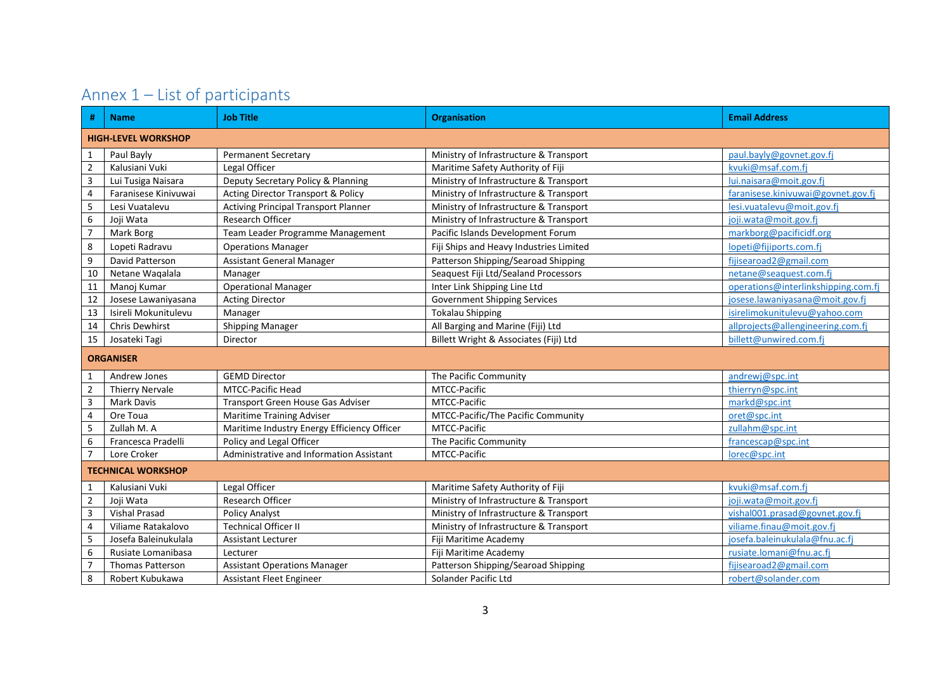| Annex $1$ – List of participants |  |  |  |  |  |
|----------------------------------|--|--|--|--|--|
|----------------------------------|--|--|--|--|--|

| #                       | <b>Name</b>                | <b>Job Title</b>                              | <b>Organisation</b>                     | <b>Email Address</b>                |  |
|-------------------------|----------------------------|-----------------------------------------------|-----------------------------------------|-------------------------------------|--|
|                         | <b>HIGH-LEVEL WORKSHOP</b> |                                               |                                         |                                     |  |
|                         | Paul Bayly                 | <b>Permanent Secretary</b>                    | Ministry of Infrastructure & Transport  | paul.bayly@govnet.gov.fj            |  |
| $\overline{2}$          | Kalusiani Vuki             | Legal Officer                                 | Maritime Safety Authority of Fiji       | kvuki@msaf.com.fj                   |  |
| $\overline{\mathbf{3}}$ | Lui Tusiga Naisara         | Deputy Secretary Policy & Planning            | Ministry of Infrastructure & Transport  | lui.naisara@moit.gov.fj             |  |
| $\overline{4}$          | Faranisese Kinivuwai       | <b>Acting Director Transport &amp; Policy</b> | Ministry of Infrastructure & Transport  | faranisese.kinivuwai@govnet.gov.fj  |  |
| 5                       | Lesi Vuatalevu             | <b>Activing Principal Transport Planner</b>   | Ministry of Infrastructure & Transport  | lesi.vuatalevu@moit.gov.fj          |  |
| 6                       | Joji Wata                  | Research Officer                              | Ministry of Infrastructure & Transport  | joji.wata@moit.gov.fj               |  |
| $\overline{7}$          | Mark Borg                  | Team Leader Programme Management              | Pacific Islands Development Forum       | markborg@pacificidf.org             |  |
| 8                       | Lopeti Radravu             | <b>Operations Manager</b>                     | Fiji Ships and Heavy Industries Limited | lopeti@fijiports.com.fj             |  |
| 9                       | David Patterson            | <b>Assistant General Manager</b>              | Patterson Shipping/Searoad Shipping     | fijisearoad2@gmail.com              |  |
| 10                      | Netane Waqalala            | Manager                                       | Seaquest Fiji Ltd/Sealand Processors    | netane@seaquest.com.fj              |  |
| 11                      | Manoj Kumar                | <b>Operational Manager</b>                    | Inter Link Shipping Line Ltd            | operations@interlinkshipping.com.fj |  |
| 12                      | Josese Lawaniyasana        | <b>Acting Director</b>                        | <b>Government Shipping Services</b>     | josese.lawaniyasana@moit.gov.fj     |  |
| 13                      | Isireli Mokunitulevu       | Manager                                       | <b>Tokalau Shipping</b>                 | isirelimokunitulevu@yahoo.com       |  |
| 14                      | Chris Dewhirst             | <b>Shipping Manager</b>                       | All Barging and Marine (Fiji) Ltd       | allprojects@allengineering.com.fj   |  |
| 15                      | Josateki Tagi              | Director                                      | Billett Wright & Associates (Fiji) Ltd  | billett@unwired.com.fi              |  |
|                         | <b>ORGANISER</b>           |                                               |                                         |                                     |  |
|                         | Andrew Jones               | <b>GEMD Director</b>                          | The Pacific Community                   | andrewi@spc.int                     |  |
| $\overline{2}$          | <b>Thierry Nervale</b>     | <b>MTCC-Pacific Head</b>                      | MTCC-Pacific                            | thierryn@spc.int                    |  |
| 3                       | <b>Mark Davis</b>          | Transport Green House Gas Adviser             | MTCC-Pacific                            | markd@spc.int                       |  |
| 4                       | Ore Toua                   | <b>Maritime Training Adviser</b>              | MTCC-Pacific/The Pacific Community      | oret@spc.int                        |  |
| 5                       | Zullah M. A                | Maritime Industry Energy Efficiency Officer   | MTCC-Pacific                            | zullahm@spc.int                     |  |
| 6                       | Francesca Pradelli         | Policy and Legal Officer                      | The Pacific Community                   | francescap@spc.int                  |  |
| 7                       | Lore Croker                | Administrative and Information Assistant      | MTCC-Pacific                            | lorec@spc.int                       |  |
| TECHNICAL WORKSHOP      |                            |                                               |                                         |                                     |  |
|                         | Kalusiani Vuki             | Legal Officer                                 | Maritime Safety Authority of Fiji       | kvuki@msaf.com.fj                   |  |
| 2                       | Joji Wata                  | Research Officer                              | Ministry of Infrastructure & Transport  | joji.wata@moit.gov.fj               |  |
| 3                       | <b>Vishal Prasad</b>       | <b>Policy Analyst</b>                         | Ministry of Infrastructure & Transport  | vishal001.prasad@govnet.gov.fj      |  |
| 4                       | Viliame Ratakalovo         | <b>Technical Officer II</b>                   | Ministry of Infrastructure & Transport  | viliame.finau@moit.gov.fj           |  |
| 5                       | Josefa Baleinukulala       | <b>Assistant Lecturer</b>                     | Fiji Maritime Academy                   | josefa.baleinukulala@fnu.ac.fj      |  |
| 6                       | Rusiate Lomanibasa         | Lecturer                                      | Fiji Maritime Academy                   | rusiate.lomani@fnu.ac.fj            |  |
| 7                       | <b>Thomas Patterson</b>    | <b>Assistant Operations Manager</b>           | Patterson Shipping/Searoad Shipping     | fijisearoad2@gmail.com              |  |
| 8                       | Robert Kubukawa            | Assistant Fleet Engineer                      | Solander Pacific Ltd                    | robert@solander.com                 |  |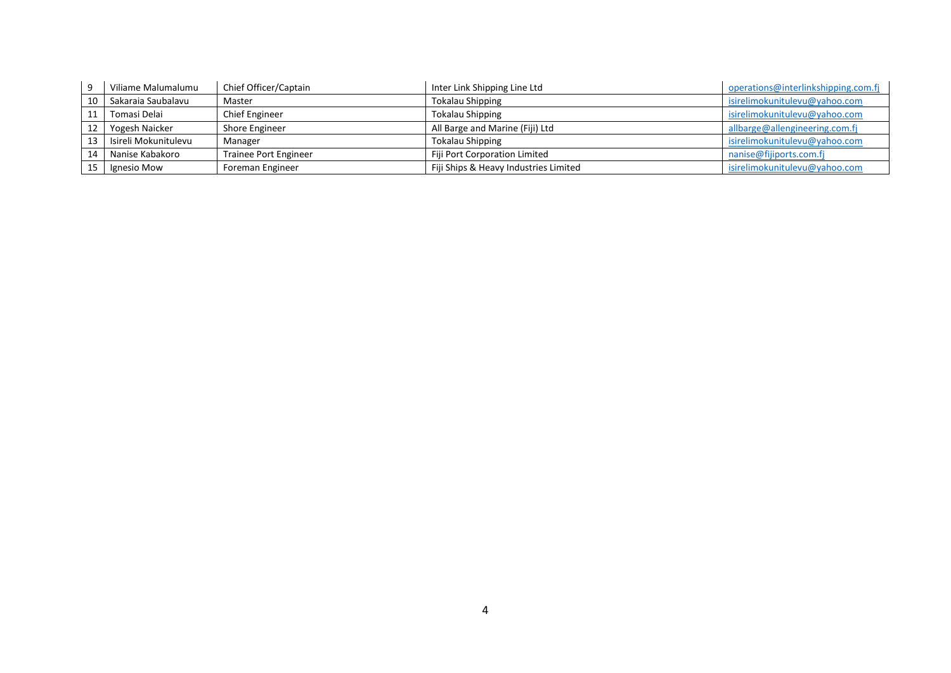|    | Viliame Malumalumu   | Chief Officer/Captain        | Inter Link Shipping Line Ltd          | operations@interlinkshipping.com.fj |
|----|----------------------|------------------------------|---------------------------------------|-------------------------------------|
| 10 | Sakaraia Saubalavu   | Master                       | <b>Tokalau Shipping</b>               | isirelimokunitulevu@yahoo.com       |
| 11 | Tomasi Delai         | Chief Engineer               | <b>Tokalau Shipping</b>               | isirelimokunitulevu@yahoo.com       |
| 12 | Yogesh Naicker       | Shore Engineer               | All Barge and Marine (Fiji) Ltd       | allbarge@allengineering.com.fj      |
|    | Isireli Mokunitulevu | Manager                      | <b>Tokalau Shipping</b>               | isirelimokunitulevu@yahoo.com       |
| 14 | Nanise Kabakoro      | <b>Trainee Port Engineer</b> | Fiji Port Corporation Limited         | nanise@fijiports.com.fj             |
|    | Ignesio Mow          | Foreman Engineer             | Fiji Ships & Heavy Industries Limited | isirelimokunitulevu@yahoo.com       |